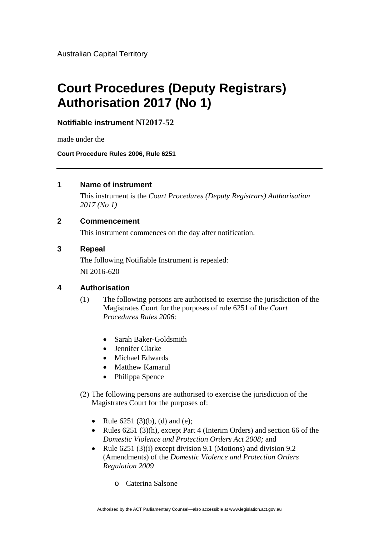Australian Capital Territory

# **Court Procedures (Deputy Registrars) Authorisation 2017 (No 1)**

**Notifiable instrument NI2017-52**

made under the

**Court Procedure Rules 2006, Rule 6251**

## **1 Name of instrument**

This instrument is the *Court Procedures (Deputy Registrars) Authorisation 2017 (No 1)* 

## **2 Commencement**

This instrument commences on the day after notification.

#### **3 Repeal**

The following Notifiable Instrument is repealed: NI 2016-620

## **4 Authorisation**

- (1) The following persons are authorised to exercise the jurisdiction of the Magistrates Court for the purposes of rule 6251 of the *Court Procedures Rules 2006*:
	- Sarah Baker-Goldsmith
	- Jennifer Clarke
	- Michael Edwards
	- Matthew Kamarul
	- Philippa Spence
- (2) The following persons are authorised to exercise the jurisdiction of the Magistrates Court for the purposes of:
	- Rule  $6251 (3)(b)$ , (d) and (e);
	- Rules  $6251$  (3)(h), except Part 4 (Interim Orders) and section 66 of the *Domestic Violence and Protection Orders Act 2008;* and
	- Rule  $6251 (3)(i)$  except division 9.1 (Motions) and division 9.2 (Amendments) of the *Domestic Violence and Protection Orders Regulation 2009*
		- o Caterina Salsone